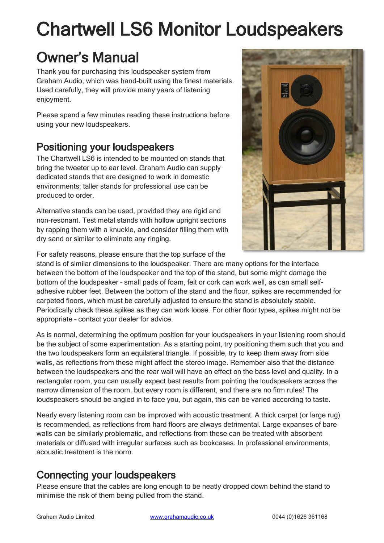# Chartwell LS6 Monitor Loudspeakers

# Owner's Manual

Thank you for purchasing this loudspeaker system from Graham Audio, which was hand-built using the finest materials. Used carefully, they will provide many years of listening enjoyment.

Please spend a few minutes reading these instructions before using your new loudspeakers.

## Positioning your loudspeakers

The Chartwell LS6 is intended to be mounted on stands that bring the tweeter up to ear level. Graham Audio can supply dedicated stands that are designed to work in domestic environments; taller stands for professional use can be produced to order.

Alternative stands can be used, provided they are rigid and non-resonant. Test metal stands with hollow upright sections by rapping them with a knuckle, and consider filling them with dry sand or similar to eliminate any ringing.



For safety reasons, please ensure that the top surface of the

stand is of similar dimensions to the loudspeaker. There are many options for the interface between the bottom of the loudspeaker and the top of the stand, but some might damage the bottom of the loudspeaker – small pads of foam, felt or cork can work well, as can small selfadhesive rubber feet. Between the bottom of the stand and the floor, spikes are recommended for carpeted floors, which must be carefully adjusted to ensure the stand is absolutely stable. Periodically check these spikes as they can work loose. For other floor types, spikes might not be appropriate – contact your dealer for advice.

As is normal, determining the optimum position for your loudspeakers in your listening room should be the subject of some experimentation. As a starting point, try positioning them such that you and the two loudspeakers form an equilateral triangle. If possible, try to keep them away from side walls, as reflections from these might affect the stereo image. Remember also that the distance between the loudspeakers and the rear wall will have an effect on the bass level and quality. In a rectangular room, you can usually expect best results from pointing the loudspeakers across the narrow dimension of the room, but every room is different, and there are no firm rules! The loudspeakers should be angled in to face you, but again, this can be varied according to taste.

Nearly every listening room can be improved with acoustic treatment. A thick carpet (or large rug) is recommended, as reflections from hard floors are always detrimental. Large expanses of bare walls can be similarly problematic, and reflections from these can be treated with absorbent materials or diffused with irregular surfaces such as bookcases. In professional environments, acoustic treatment is the norm.

## Connecting your loudspeakers

Please ensure that the cables are long enough to be neatly dropped down behind the stand to minimise the risk of them being pulled from the stand.